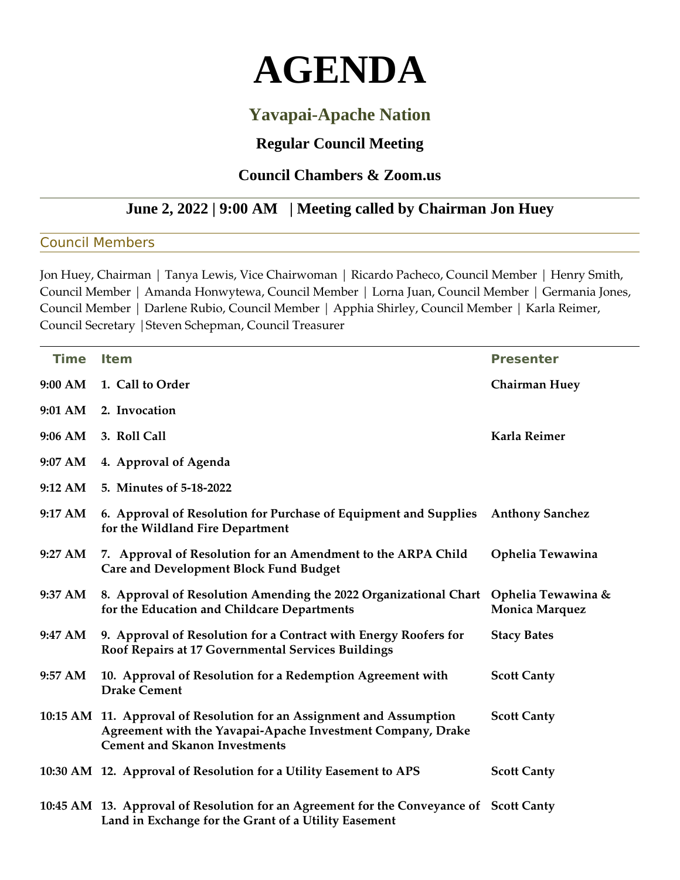# **AGENDA**

## **Yavapai-Apache Nation**

### **Regular Council Meeting**

#### **Council Chambers & Zoom.us**

#### **June 2, 2022 | 9:00 AM | Meeting called by Chairman Jon Huey**

#### Council Members

Jon Huey, Chairman | Tanya Lewis, Vice Chairwoman | Ricardo Pacheco, Council Member | Henry Smith, Council Member | Amanda Honwytewa, Council Member | Lorna Juan, Council Member | Germania Jones, Council Member | Darlene Rubio, Council Member | Apphia Shirley, Council Member | Karla Reimer, Council Secretary |Steven Schepman, Council Treasurer

| <b>Time</b>       | <b>Item</b>                                                                                                                                                                 | <b>Presenter</b>                            |
|-------------------|-----------------------------------------------------------------------------------------------------------------------------------------------------------------------------|---------------------------------------------|
| 9:00 AM           | 1. Call to Order                                                                                                                                                            | <b>Chairman Huey</b>                        |
| 9:01 AM           | 2. Invocation                                                                                                                                                               |                                             |
| 9:06 AM           | 3. Roll Call                                                                                                                                                                | Karla Reimer                                |
| 9:07 AM           | 4. Approval of Agenda                                                                                                                                                       |                                             |
| 9:12 AM           | 5. Minutes of 5-18-2022                                                                                                                                                     |                                             |
| 9:17 AM           | 6. Approval of Resolution for Purchase of Equipment and Supplies<br>for the Wildland Fire Department                                                                        | <b>Anthony Sanchez</b>                      |
| $9:27 \text{ AM}$ | 7. Approval of Resolution for an Amendment to the ARPA Child<br><b>Care and Development Block Fund Budget</b>                                                               | Ophelia Tewawina                            |
| 9:37 AM           | 8. Approval of Resolution Amending the 2022 Organizational Chart<br>for the Education and Childcare Departments                                                             | Ophelia Tewawina &<br><b>Monica Marquez</b> |
| 9:47 AM           | 9. Approval of Resolution for a Contract with Energy Roofers for<br>Roof Repairs at 17 Governmental Services Buildings                                                      | <b>Stacy Bates</b>                          |
| 9:57 AM           | 10. Approval of Resolution for a Redemption Agreement with<br><b>Drake Cement</b>                                                                                           | <b>Scott Canty</b>                          |
|                   | 10:15 AM 11. Approval of Resolution for an Assignment and Assumption<br>Agreement with the Yavapai-Apache Investment Company, Drake<br><b>Cement and Skanon Investments</b> | <b>Scott Canty</b>                          |
|                   | 10:30 AM 12. Approval of Resolution for a Utility Easement to APS                                                                                                           | <b>Scott Canty</b>                          |
|                   | 10:45 AM 13. Approval of Resolution for an Agreement for the Conveyance of Scott Canty<br>Land in Exchange for the Grant of a Utility Easement                              |                                             |